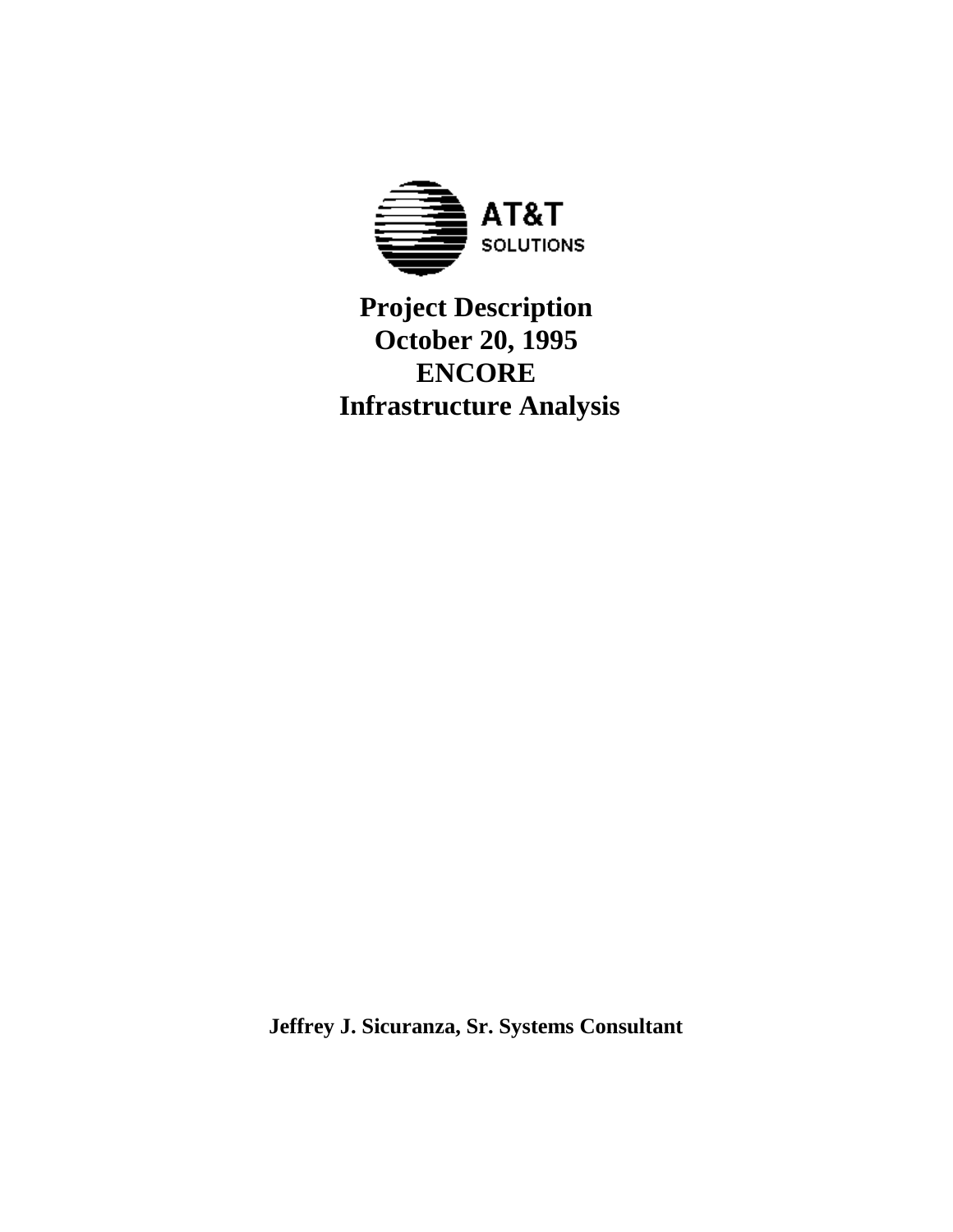

# **Project Description October 20, 1995 ENCORE Infrastructure Analysis**

**Jeffrey J. Sicuranza, Sr. Systems Consultant**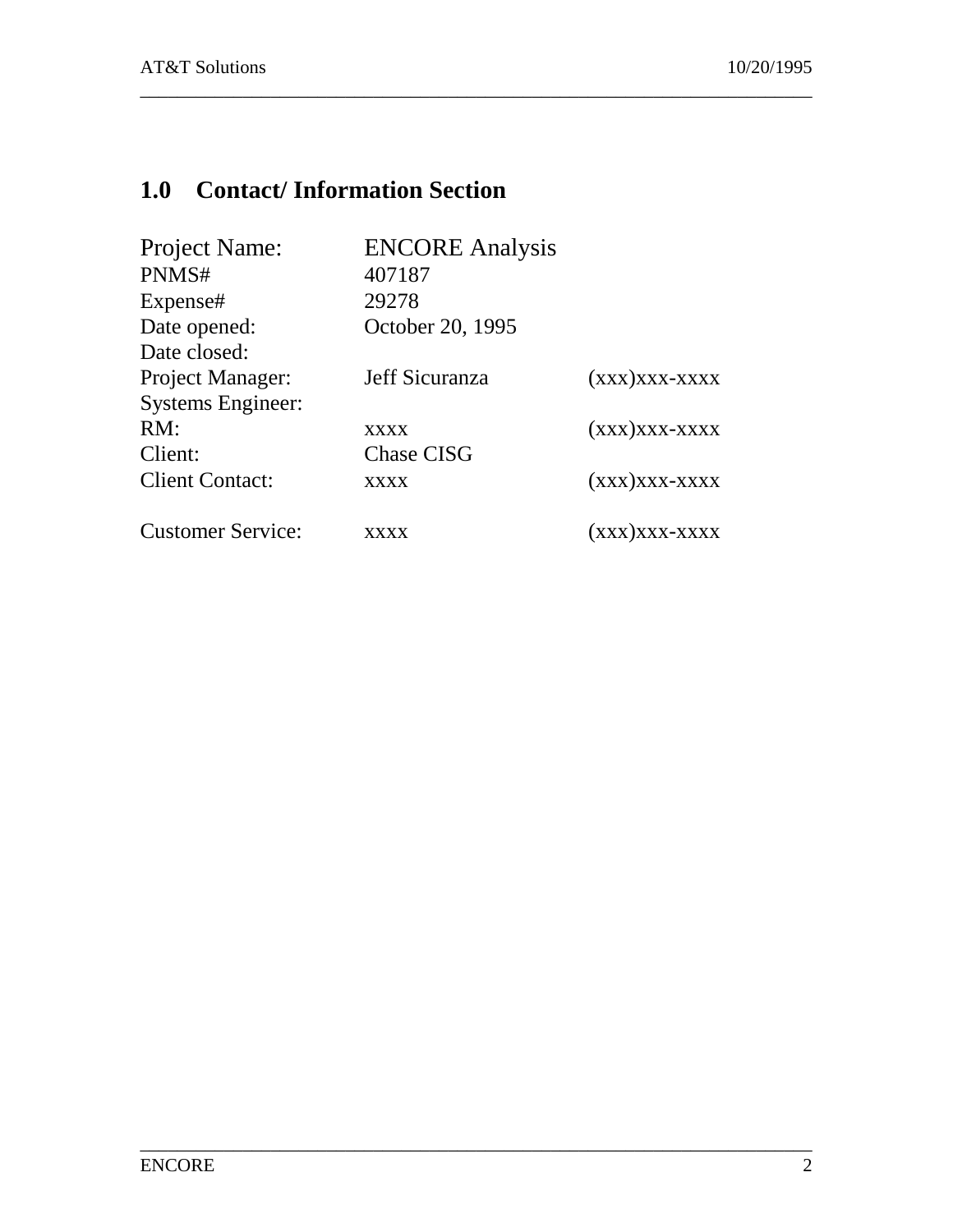# **1.0 Contact/ Information Section**

| Project Name:            | <b>ENCORE</b> Analysis |                 |
|--------------------------|------------------------|-----------------|
| PNMS#                    | 407187                 |                 |
| Expense#                 | 29278                  |                 |
| Date opened:             | October 20, 1995       |                 |
| Date closed:             |                        |                 |
| Project Manager:         | Jeff Sicuranza         | $(xxx)xxx-xxxx$ |
| <b>Systems Engineer:</b> |                        |                 |
| RM:                      | <b>XXXX</b>            | $(xxx)xxx-xxxx$ |
| Client:                  | <b>Chase CISG</b>      |                 |
| <b>Client Contact:</b>   | xxxx                   | $(xxx)xxx-xxxx$ |
| <b>Customer Service:</b> | xxxx                   | (ххх)ххх-хххх   |

\_\_\_\_\_\_\_\_\_\_\_\_\_\_\_\_\_\_\_\_\_\_\_\_\_\_\_\_\_\_\_\_\_\_\_\_\_\_\_\_\_\_\_\_\_\_\_\_\_\_\_\_\_\_\_\_\_\_\_\_\_\_\_\_\_\_\_\_\_\_\_\_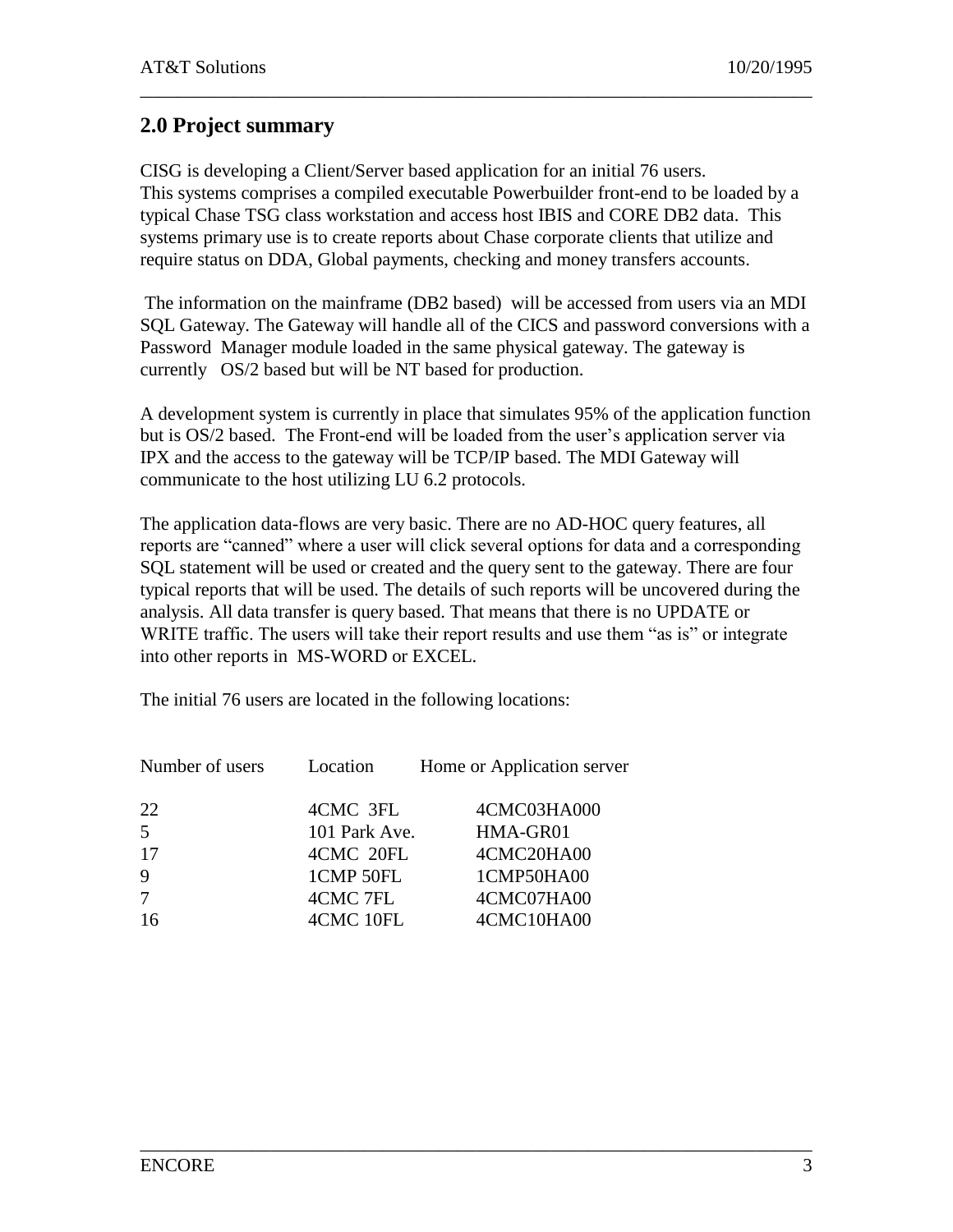# **2.0 Project summary**

CISG is developing a Client/Server based application for an initial 76 users. This systems comprises a compiled executable Powerbuilder front-end to be loaded by a typical Chase TSG class workstation and access host IBIS and CORE DB2 data. This systems primary use is to create reports about Chase corporate clients that utilize and require status on DDA, Global payments, checking and money transfers accounts.

\_\_\_\_\_\_\_\_\_\_\_\_\_\_\_\_\_\_\_\_\_\_\_\_\_\_\_\_\_\_\_\_\_\_\_\_\_\_\_\_\_\_\_\_\_\_\_\_\_\_\_\_\_\_\_\_\_\_\_\_\_\_\_\_\_\_\_\_\_\_\_\_

The information on the mainframe (DB2 based) will be accessed from users via an MDI SQL Gateway. The Gateway will handle all of the CICS and password conversions with a Password Manager module loaded in the same physical gateway. The gateway is currently OS/2 based but will be NT based for production.

A development system is currently in place that simulates 95% of the application function but is OS/2 based. The Front-end will be loaded from the user's application server via IPX and the access to the gateway will be TCP/IP based. The MDI Gateway will communicate to the host utilizing LU 6.2 protocols.

The application data-flows are very basic. There are no AD-HOC query features, all reports are "canned" where a user will click several options for data and a corresponding SQL statement will be used or created and the query sent to the gateway. There are four typical reports that will be used. The details of such reports will be uncovered during the analysis. All data transfer is query based. That means that there is no UPDATE or WRITE traffic. The users will take their report results and use them "as is" or integrate into other reports in MS-WORD or EXCEL.

\_\_\_\_\_\_\_\_\_\_\_\_\_\_\_\_\_\_\_\_\_\_\_\_\_\_\_\_\_\_\_\_\_\_\_\_\_\_\_\_\_\_\_\_\_\_\_\_\_\_\_\_\_\_\_\_\_\_\_\_\_\_\_\_\_\_\_\_\_\_\_\_

The initial 76 users are located in the following locations:

| Number of users | Location      | Home or Application server |
|-----------------|---------------|----------------------------|
| 22              | 4CMC 3FL      | 4CMC03HA000                |
| 5               | 101 Park Ave. | HMA-GR01                   |
| 17              | 4CMC 20FL     | 4CMC20HA00                 |
| 9               | 1CMP 50FL     | 1CMP50HA00                 |
| 7               | 4CMC 7FL      | 4CMC07HA00                 |
| 16              | 4CMC 10FL     | 4CMC10HA00                 |
|                 |               |                            |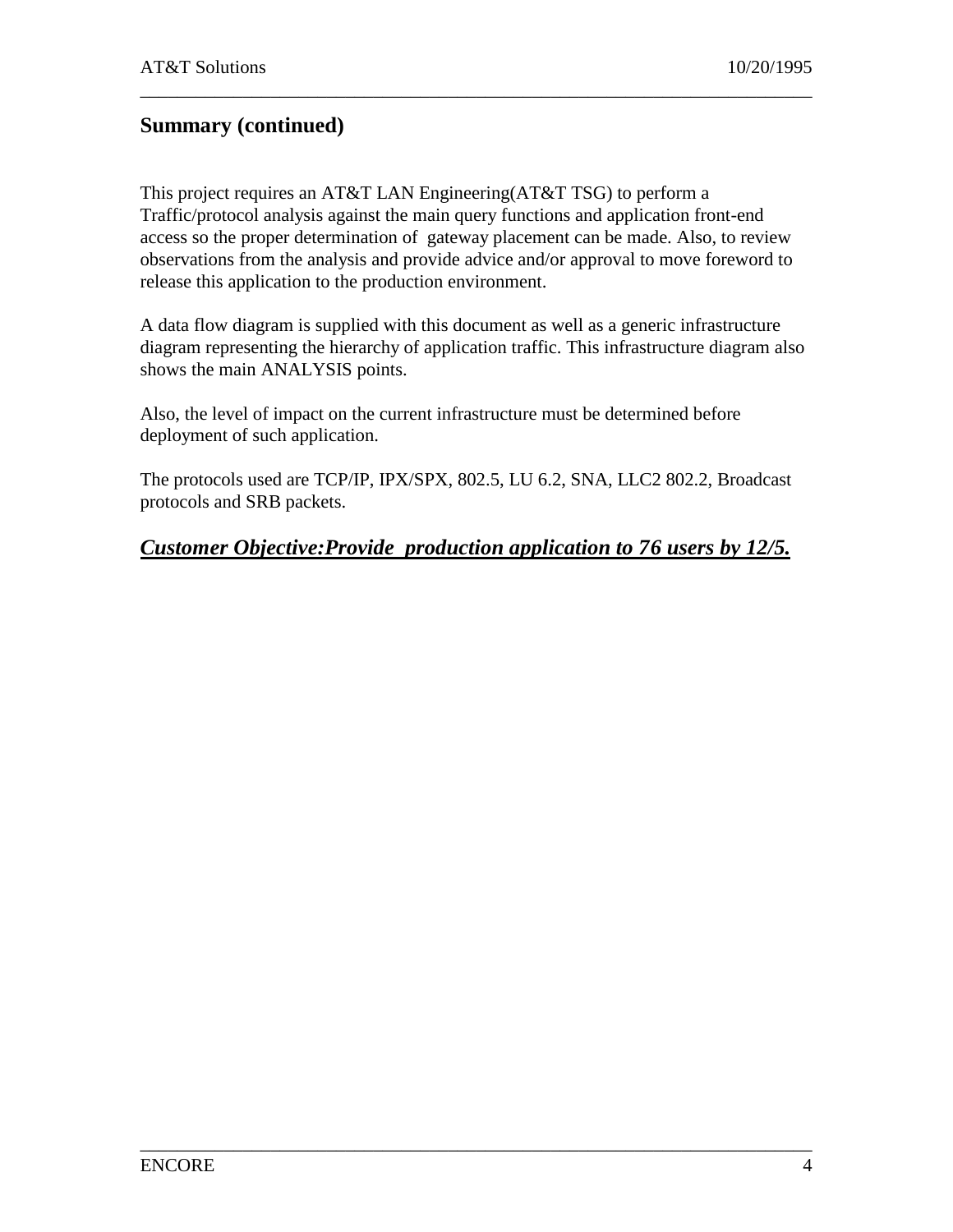# **Summary (continued)**

This project requires an AT&T LAN Engineering(AT&T TSG) to perform a Traffic/protocol analysis against the main query functions and application front-end access so the proper determination of gateway placement can be made. Also, to review observations from the analysis and provide advice and/or approval to move foreword to release this application to the production environment.

\_\_\_\_\_\_\_\_\_\_\_\_\_\_\_\_\_\_\_\_\_\_\_\_\_\_\_\_\_\_\_\_\_\_\_\_\_\_\_\_\_\_\_\_\_\_\_\_\_\_\_\_\_\_\_\_\_\_\_\_\_\_\_\_\_\_\_\_\_\_\_\_

A data flow diagram is supplied with this document as well as a generic infrastructure diagram representing the hierarchy of application traffic. This infrastructure diagram also shows the main ANALYSIS points.

Also, the level of impact on the current infrastructure must be determined before deployment of such application.

The protocols used are TCP/IP, IPX/SPX, 802.5, LU 6.2, SNA, LLC2 802.2, Broadcast protocols and SRB packets.

#### *Customer Objective:Provide production application to 76 users by 12/5.*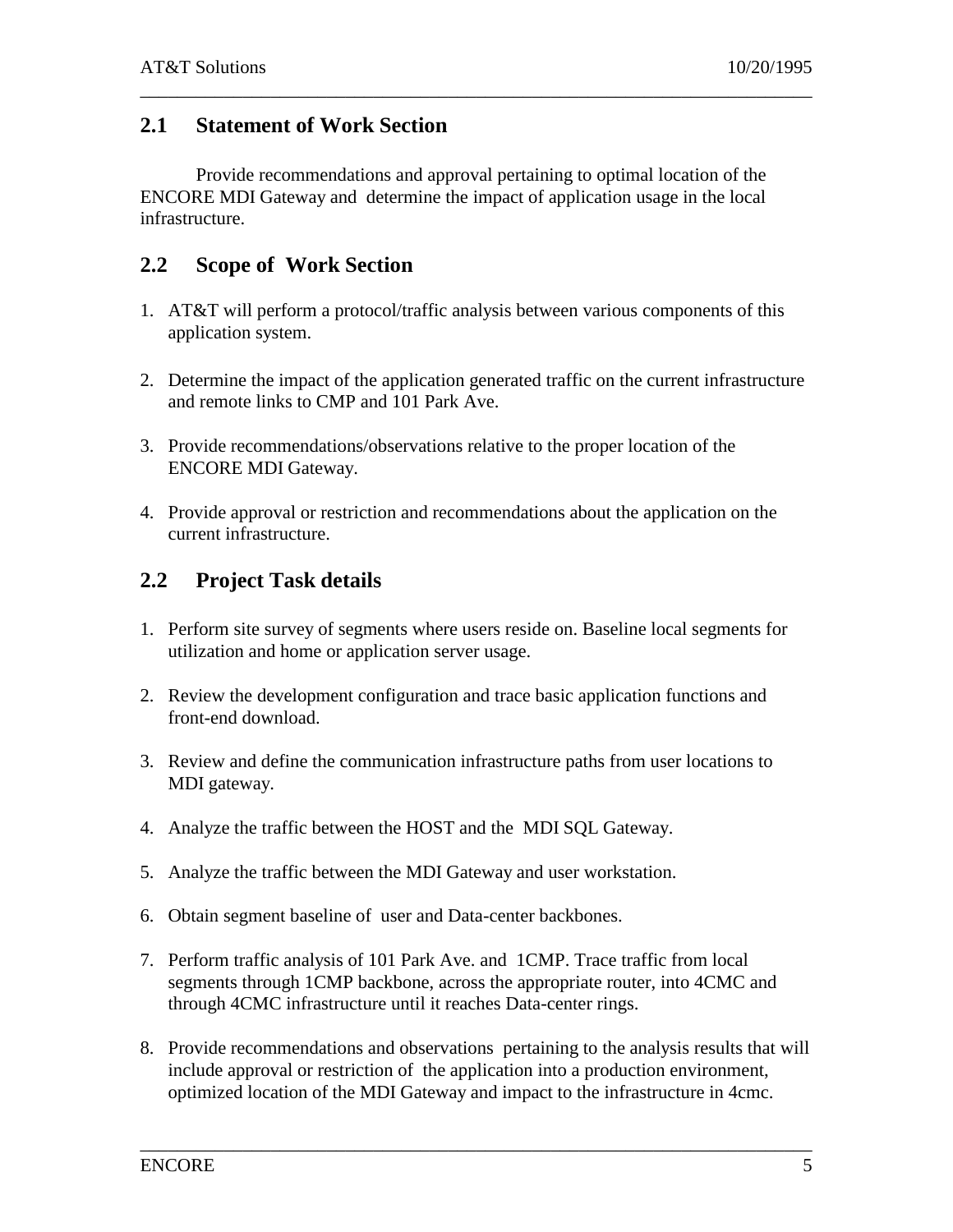#### **2.1 Statement of Work Section**

Provide recommendations and approval pertaining to optimal location of the ENCORE MDI Gateway and determine the impact of application usage in the local infrastructure.

\_\_\_\_\_\_\_\_\_\_\_\_\_\_\_\_\_\_\_\_\_\_\_\_\_\_\_\_\_\_\_\_\_\_\_\_\_\_\_\_\_\_\_\_\_\_\_\_\_\_\_\_\_\_\_\_\_\_\_\_\_\_\_\_\_\_\_\_\_\_\_\_

#### **2.2 Scope of Work Section**

- 1. AT&T will perform a protocol/traffic analysis between various components of this application system.
- 2. Determine the impact of the application generated traffic on the current infrastructure and remote links to CMP and 101 Park Ave.
- 3. Provide recommendations/observations relative to the proper location of the ENCORE MDI Gateway.
- 4. Provide approval or restriction and recommendations about the application on the current infrastructure.

#### **2.2 Project Task details**

- 1. Perform site survey of segments where users reside on. Baseline local segments for utilization and home or application server usage.
- 2. Review the development configuration and trace basic application functions and front-end download.
- 3. Review and define the communication infrastructure paths from user locations to MDI gateway.
- 4. Analyze the traffic between the HOST and the MDI SQL Gateway.
- 5. Analyze the traffic between the MDI Gateway and user workstation.
- 6. Obtain segment baseline of user and Data-center backbones.
- 7. Perform traffic analysis of 101 Park Ave. and 1CMP. Trace traffic from local segments through 1CMP backbone, across the appropriate router, into 4CMC and through 4CMC infrastructure until it reaches Data-center rings.
- 8. Provide recommendations and observations pertaining to the analysis results that will include approval or restriction of the application into a production environment, optimized location of the MDI Gateway and impact to the infrastructure in 4cmc.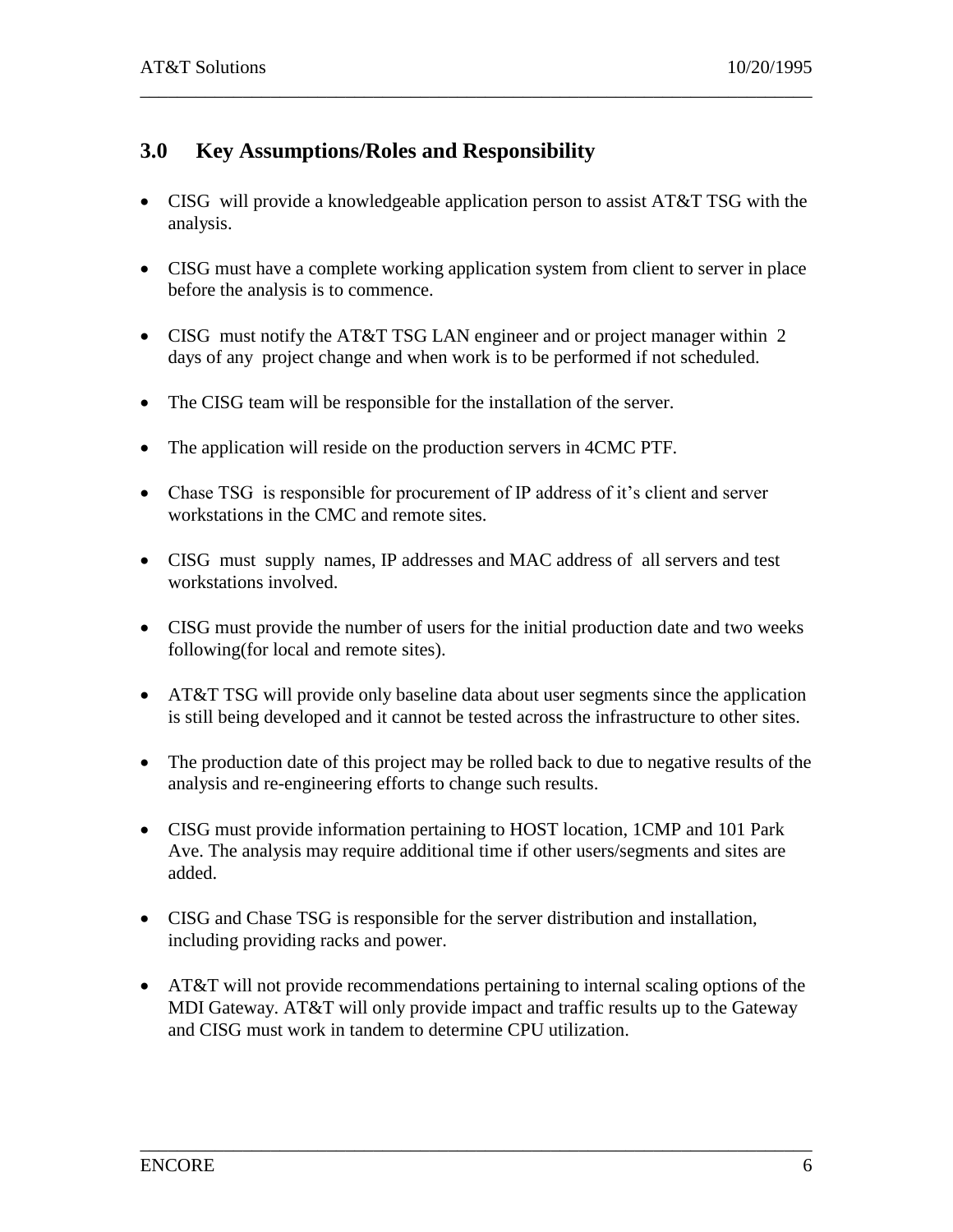# **3.0 Key Assumptions/Roles and Responsibility**

 CISG will provide a knowledgeable application person to assist AT&T TSG with the analysis.

\_\_\_\_\_\_\_\_\_\_\_\_\_\_\_\_\_\_\_\_\_\_\_\_\_\_\_\_\_\_\_\_\_\_\_\_\_\_\_\_\_\_\_\_\_\_\_\_\_\_\_\_\_\_\_\_\_\_\_\_\_\_\_\_\_\_\_\_\_\_\_\_

- CISG must have a complete working application system from client to server in place before the analysis is to commence.
- CISG must notify the AT&T TSG LAN engineer and or project manager within 2 days of any project change and when work is to be performed if not scheduled.
- The CISG team will be responsible for the installation of the server.
- The application will reside on the production servers in 4CMC PTF.
- Chase TSG is responsible for procurement of IP address of it's client and server workstations in the CMC and remote sites.
- CISG must supply names, IP addresses and MAC address of all servers and test workstations involved.
- CISG must provide the number of users for the initial production date and two weeks following(for local and remote sites).
- AT&T TSG will provide only baseline data about user segments since the application is still being developed and it cannot be tested across the infrastructure to other sites.
- The production date of this project may be rolled back to due to negative results of the analysis and re-engineering efforts to change such results.
- CISG must provide information pertaining to HOST location, 1CMP and 101 Park Ave. The analysis may require additional time if other users/segments and sites are added.
- CISG and Chase TSG is responsible for the server distribution and installation, including providing racks and power.
- AT&T will not provide recommendations pertaining to internal scaling options of the MDI Gateway. AT&T will only provide impact and traffic results up to the Gateway and CISG must work in tandem to determine CPU utilization.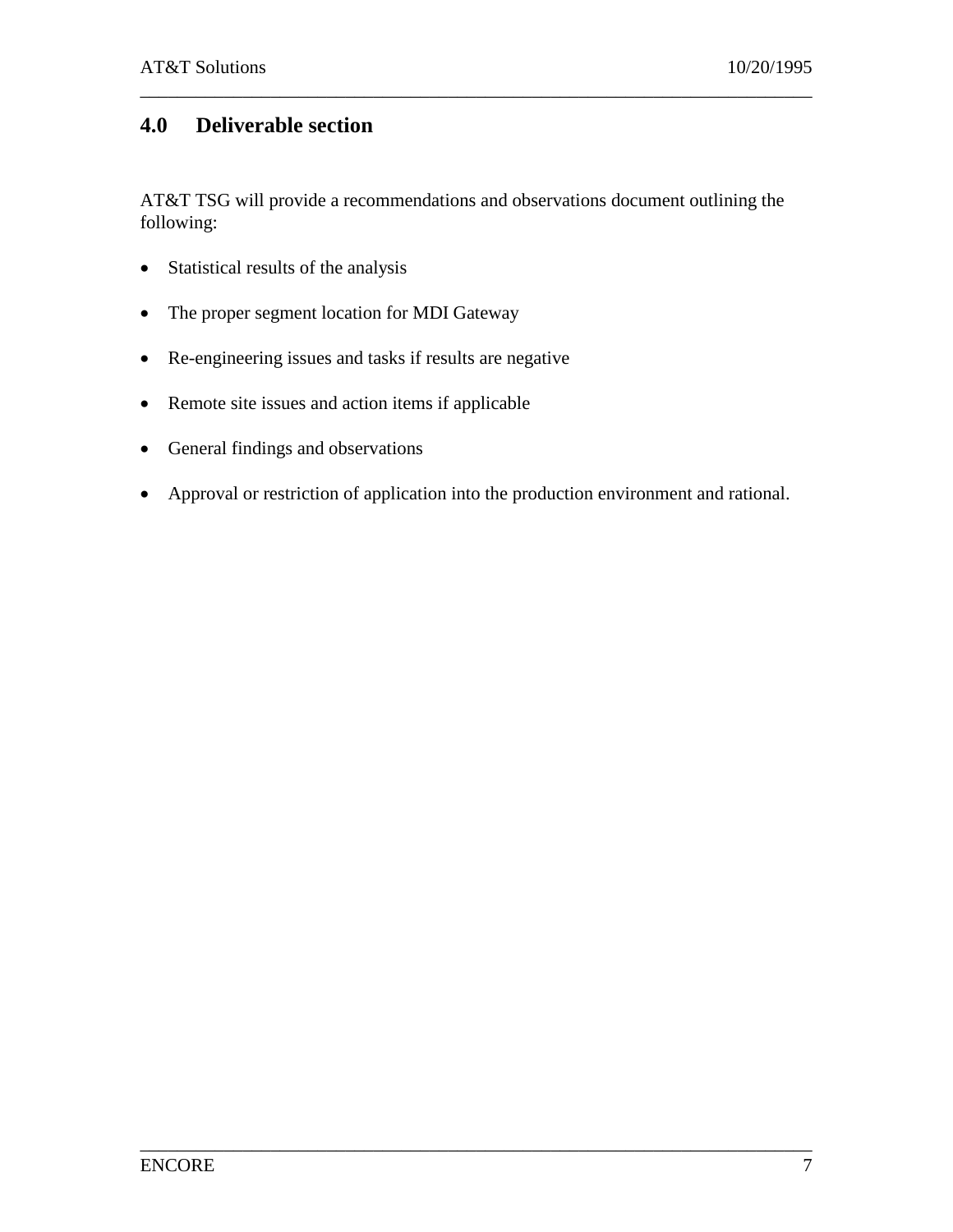# **4.0 Deliverable section**

AT&T TSG will provide a recommendations and observations document outlining the following:

\_\_\_\_\_\_\_\_\_\_\_\_\_\_\_\_\_\_\_\_\_\_\_\_\_\_\_\_\_\_\_\_\_\_\_\_\_\_\_\_\_\_\_\_\_\_\_\_\_\_\_\_\_\_\_\_\_\_\_\_\_\_\_\_\_\_\_\_\_\_\_\_

- Statistical results of the analysis
- The proper segment location for MDI Gateway
- Re-engineering issues and tasks if results are negative
- Remote site issues and action items if applicable
- General findings and observations
- Approval or restriction of application into the production environment and rational.